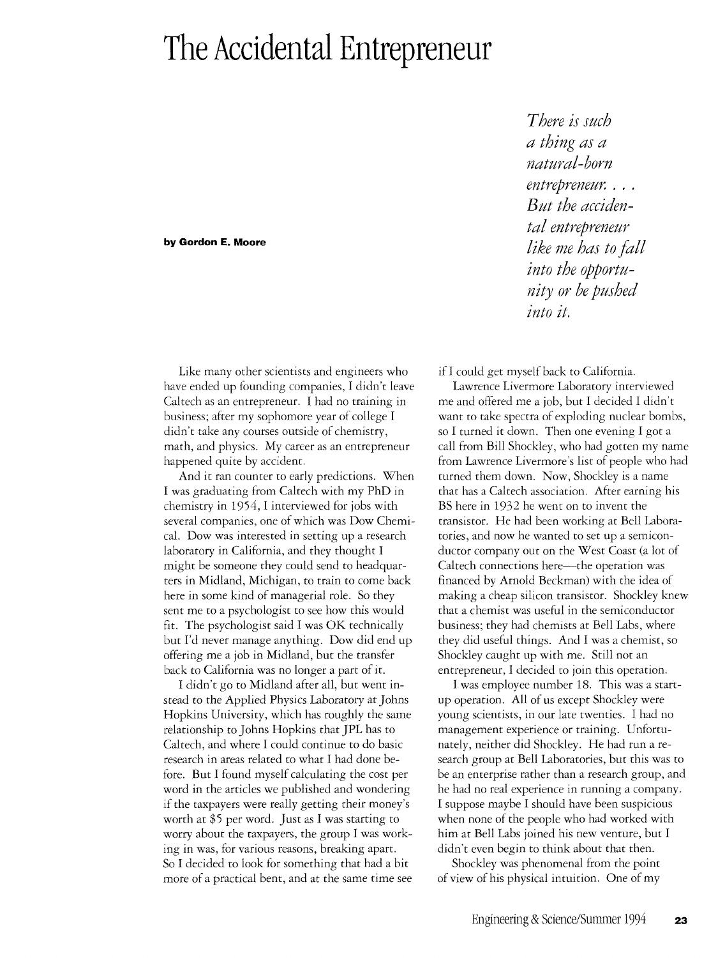## **The Accidental Entrepreneur**

## **by Gordon E. Moore**

Like many other scientists and engineers who have ended up founding companies, I didn't leave Caltech as an entrepreneur. I had no training in business; after my sophomore year of college I didn't take any courses outside of chemistry, math, and physics. My career as an entrepreneur happened quite by accident.

And it ran counter to early predictions. When I was graduating from Caltech with my PhD in chemistry in 1954, I interviewed for jobs with several companies, one of which was Dow Chemical. Dow was interested in setting up a research laboratory in California, and they thought I might be someone they could send to headquarters in Midland, Michigan, to train to come back here in some kind of managerial role. So they sent me to a psychologist to see how this would fit. The psychologist said I was OK technically but I'd never manage anything. Dow did end up offering me a job in Midland, but the transfer back to California was no longer a part of it.

I didn't go to Midland after all, but went instead to the Applied Physics Laboratory at Johns Hopkins University, which has roughly the same relationship to Johns Hopkins that JPL has to Caltech, and where I could continue to do basic research in areas related to what I had done before. But I found myself calculating the cost per word in the articles we published and wondering if the taxpayers were really getting their money's worth at \$S per word. Just as I was starting to worry about the taxpayers, the group I was working in was, for various reasons, breaking apart. So I decided to look for something that had a bit more of a practical bent, and at the same time see

*There is such a thing as a natural-born entrepreneur. . But the accidental entrepreneur like me has to fall into the opportunity or be pushed into it.* 

if I could get myself back to California.

Lawrence Livermore Laboratory interviewed me and offered me a job, but I decided I didn't want to take spectra of exploding nuclear bombs, so I turned it down. Then one evening I got a call from Bill Shockley, who had gotten my name from Lawrence Livermore's list of people who had turned them down. Now, Shockley is a name that has a Caltech association. After earning his BS here in 1932 he went on to invent the transistor. He had been working at Bell Laboratories, and now he wanted to set up a semiconductor company our on the West Coast (a lot of Caltech connections here—the operation was financed by Arnold Beckman) with the idea of making a cheap silicon transistor. Shockley knew that a chemist was useful in the semiconductor business; they had chemists at Bell Labs, where they did useful things. And I was a chemist, so Shockley caught up with me. Still not an entrepreneur, I decided to join this operation.

I was employee number 18. This was a startup operation. All of us except Shockley were young scientists, in our late twenties. I had no management experience or training. Unfortunately, neither did Shockley. He had run a research group at Bell Laboratories, but this was to be an enterprise rather than a research group, and he had no real experience in running a company. I suppose maybe I should have been suspicious when none of the people who had worked with him at Bell Labs joined his new venture, but I didn't even begin to think about that then.

Shockley was phenomenal from the point of view of his physical intuition. One of my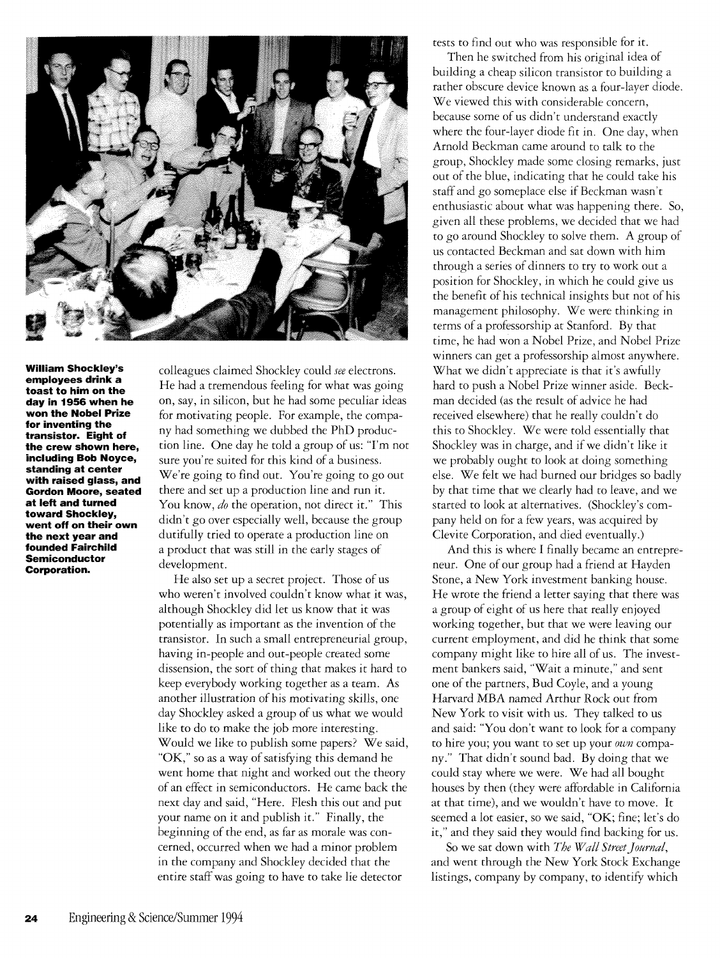

**William Shockley's employees drink a toast to him on the day in 1956 when he won the Nobel Prize for inventing the transistor. Eight of the crew shown here, including Bob Noyce, standing at center with raised glass, and Gordon Moore, seated at left and turned toward Shockley, went off on their own the next year and founded Fairchild Semiconductor Corporation.** 

colleagues claimed Shockley could *see* electrons. He had a tremendous feeling for what was going on, say, in silicon, but he had some peculiar ideas for motivating people. For example, the company had something we dubbed the PhD production line. One day he told a group of us: 'Tm not sure you're suited for this kind of a business. We're going to find out. You're going to go out there and set up a production line and run it. You know, *do* the operation, not direct it." This didn't go over especially well, because the group dutifully tried to operate a production line on a product that was still in the early stages of development.

He also set up a secret project. Those of us who weren't involved couldn't know what it was, although Shockley did let us know that it was potentially as important as the invention of the transistor. In such a small entrepreneurial group, having in-people and out-people created some dissension, the sort of thing that makes it hard to keep everybody working together as a team. As another illustration of his motivating skills, one day Shockley asked a group of us what we would like to do to make the job more interesting. Would we like to publish some papers? We said, "OK," so as a way of satisfying this demand he went home that night and worked out the theory of an effect in semiconductors. He came back the next day and said, "Here. Flesh this out and put your name on it and publish it." Finally, the beginning of the end, as far as morale was concerned, occurred when we had a minor problem in the company and Shockley decided that the entire staff was going to have to take lie detector

tests to find out who was responsible for it.

Then he switched from his original idea of building a cheap silicon transistor to building a rather obscure device known as a four-layer diode. We viewed this with considerable concern, because some of us didn't understand exactly where the four-layer diode fit in. One day, when Arnold Beckman came around to talk to the group, Shockley made some closing remarks, just out of the blue, indicating that he could take his staff and go someplace else if Beckman wasn't enthusiastic about what was happening there. So, given all these problems, we decided that we had to go around Shockley to solve them. A group of us contacted Beckman and sat down with him through a series of dinners to try to work out a position for Shockley, in which he could give us the benefit of his technical insights but not of his management philosophy. We were thinking in terms of a professorship at Stanford. By that time, he had won a Nobel Prize, and Nobel Prize winners can get a professorship almost anywhere. What we didn't appreciate is that it's awfully hard to push a Nobel Prize winner aside. Beckman decided (as the result of advice he had received elsewhere) that he really couldn't do this to Shockley. We were told essentially that Shockley was in charge, and if we didn't like it we probably ought to look at doing something else. We felt we had burned our bridges so badly by that time that we clearly had to leave, and we started to look at alternatives. (Shockley's company held on for a few years, was acquired by Clevite Corporation, and died eventually.)

And this is where I finally became an entrepreneur. One of our group had a friend at Hayden Stone, a New York investment banking house. He wrote the friend a letter saying that there was a group of eight of us here that really enjoyed working together, but that we were leaving our current employment, and did he think that some company might like to hire all of us. The investment bankers said, "Wait a minute," and sent one of the partners, Bud Coyle, and a young Harvard MBA named Arthur Rock out from New York to visit with us. They talked to us and said: "You don't want to look for a company to hire you; you want to set up your *own* company." That didn't sound bad. By doing that we could stay where we were. We had all bought houses by then (they were affordable in California at that time), and we wouldn't have to move. It seemed a lot easier, so we said, "OK; fine; let's do it," and they said they would find backing for us.

So we sat down with *The Wall Street journal,*  and went through the New York Stock Exchange listings, company by company, to identify which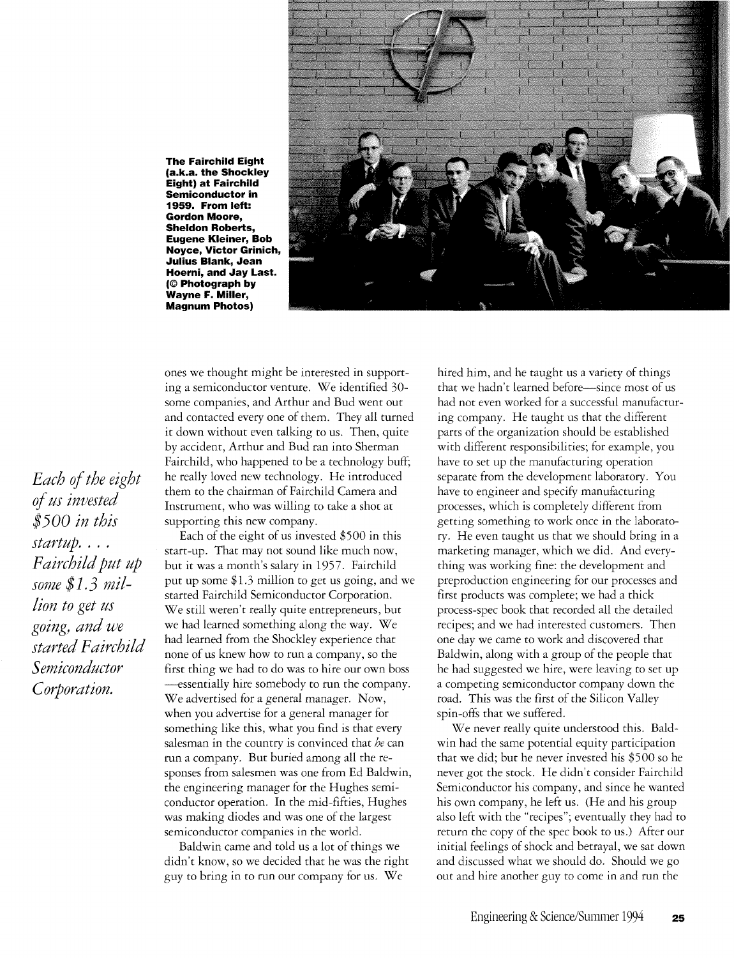**The Fairchild Eight (a.k.a. the Shockley Eight) at Fairchild Semiconductor in 1959. From left: Gordon Moore, Sheldon Roberts, Eugene Kleiner, Bob Noyce, Victor Grinich, Julius Blank, Jean Hoerni, and Jay Last. (© Photograph by Wayne F. Miller, Magnum Photos)** 



ones we thought might be interested in supporting a semiconductor venture. We identified 30 some companies, and Arthur and Bud went out and contacted every one of them. They all turned it down without even talking to us. Then, quite by accident, Arthur and Bud ran into Sherman Fairchild, who happened to be a technology buff; he really loved new technology. He introduced them to the chairman of Fairchild Camera and Instrument, who was willing to take a shot at supporting this new company.

Each of the eight of us invested \$500 in this start-up. That may not sound like much now, but it was a month's salary in 1957. Fairchild put up some \$1.3 million to get us going, and we started Fairchild Semiconductor Corporation. We still weren't really quite entrepreneurs, but we had learned something along the way. We had learned from the Shockley experience that none of us knew how to run a company, so the first thing we had to do was to hire our own boss --essentially hire somebody to run the company. We advertised for a general manager. Now, when you advertise for a general manager for something like this, what you find is that every salesman in the country is convinced that *he* can run a company. But buried among all the responses from salesmen was one from Ed Baldwin, the engineering manager for the Hughes semiconductor operation. In the mid-fifties, Hughes was making diodes and was one of the largest semiconductor companies in the world.

Baldwin came and told us a lot of things we didn't know, so we decided that he was the right guy to bring in to run our company for us. We

hired him, and he taught us a variety of things that we hadn't learned before—since most of us had not even worked for a successful manufacturing company. He taught us that the different parts of the organization should be established with different responsibilities; for example, you have to set up the manufacturing operation separate from the development laboratory. You have to engineer and specify manufacturing processes, which is completely different from getting something to work once in the laboratory. He even taught us that we should bring in a marketing manager, which we did. And everything was working fine: the development and preproduction engineering for our processes and first products was complete; we had a thick process-spec book that recorded all the detailed recipes; and we had interested customers. Then one day we came to work and discovered that Baldwin, along with a group of the people that he had suggested we hire, were leaving to set up a competing semiconductor company down the road. This was the first of the Silicon Valley spin-offs that we suffered.

We never really quite understood this. Baldwin had the same potential equity participation that we did; but he never invested his \$500 so he never got the stock. He didn't consider Fairchild Semiconductor his company, and since he wanted his own company, he left us. (He and his group also left with the "recipes"; eventually they had to return the copy of the spec book to us.) After our initial feelings of shock and betrayal, we sat down and discussed what we should do. Should we go out and hire another guy to come in and run the

*Each of the eight of us invested \$500 in this startup .* ... *Fairchild put up some* \$1.3 *million to get us going, and we started Fairchild Semiconductor Corporation.*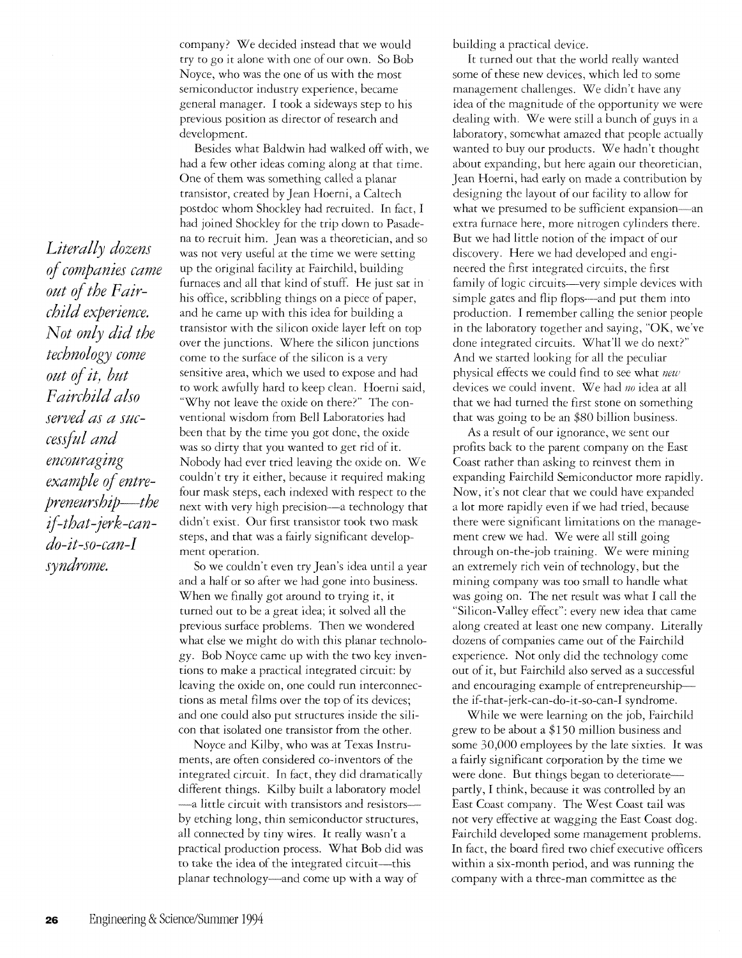company) We decided instead that we would try to go it alone with one of our own. So Bob Noyce, who was the one of us with the most semiconductor industry experience, became general manager. I took a sideways step to his previous position as director of research and development.

Besides what Baldwin had walked off with, we had a few other ideas coming along at that time. One of them was something called a planar transistor, created by Jean Hoerni, a Caltech postdoc whom Shockley had recruited. In fact, I had joined Shockley for the trip down to Pasadena to recruit him. Jean was a theoretician, and so was not very useful at the time we were setting up the original facility at Fairchild, building furnaces and all that kind of stuff. He just sat in his office, scribbling things on a piece of paper, and he came up with this idea for building a transistor with the silicon oxide layer left on top over the junctions. Where the silicon junctions come to the surface of the silicon is a very sensitive area, which we used to expose and had to work awfully hard to keep clean. Hoerni said, "Why not leave the oxide on there?" The conventional wisdom from Bell Laboratories had been that by the time you got done, the oxide was so dirty that you wanted to get rid of it. Nobody had ever tried leaving the oxide on. We couldn't try it either, because it required making four mask steps, each indexed with respect to the next with very high precision—a technology that didn't exist. Our first transistor took two mask steps, and that was a fairly significant development operation.

So we couldn't even try Jean's idea until a year and a half or so after we had gone into business. When we finally got around to trying it, it turned out to be a great idea; it solved all the previous surface problems. Then we wondered what else we might do with this planar technology. Bob Noyce came up with the two key inventions to make a practical integrated circuit: by leaving the oxide on, one could run interconnections as metal films over the top of its devices; and one could also put structures inside the silicon that isolated one transistor from the other.

Noyce and Kilby, who was at Texas Instruments, are often considered co-inventors of the integrated circuit. In fact, they did dramatically different things. Kilby built a laboratory model -a little circuit with transistors and resistorsby etching long, thin semiconductor structures, all connected by tiny wires. It really wasn't a practical production process. What Bob did was to take the idea of the integrated circuit-this planar technology-and come up with a way of

building a practical device.

It turned out that the world really wanted some of these new devices, which led to some management challenges. We didn't have any idea of the magnitude of the opportunity we were dealing with. We were still a bunch of guys in a laboratory, somewhat amazed that people actually wanted to buy our products. We hadn't thought about expanding, but here again our theoretician, Jean Hoerni, had early on made a contribution by designing the layout of our facility to allow for what we presumed to be sufficient expansion-an extra furnace here, more nitrogen cylinders there. But we had little notion of the impact of our discovery. Here we had developed and engineered the first integrated circuits, the first family of logic circuits-very simple devices with simple gates and flip flops—and put them into production. I remember calling the senior people in the laboratory together and saying, "OK, we've done integrated circuits. What'll we do next?" And we started looking for all the peculiar physical effects we could find to see what *new*  devices we could invent. We had no idea at all that we had turned the first stone on something that was going to be an \$80 billion business.

As a result of our ignorance, we sent our profits back to the parent company on the East Coast rather than asking to reinvest them in expanding Fairchild Semiconductor more rapidly. Now, it's not clear that we could have expanded a lot more rapidly even if we had tried, because there were significant limitations on the management crew we had. We were all still going through on-the-job training. We were mining an extremely rich vein of technology, but the mining company was too small to handle what was going on. The net result was what I call the "Silicon-Valley effect": every new idea that came along created at least one new company. Literally dozens of companies came out of the Fairchild experience. Not only did the technology come out of it, but Fairchild also served as a successful and encouraging example of entrepreneurshipthe if-that-jerk-can-do-it-so-can-I syndrome.

While we were learning on the job, Fairchild grew to be about a \$150 million business and some 30,000 employees by the late sixties. It was a fairly significant corporation by the time we were done. But things began to deterioratepartly, I think, because it was controlled by an East Coast company. The West Coast tail was not very effective at wagging the East Coast dog. Fairchild developed some management problems. In fact, the board fired two chief executive officers within a six-month period, and was running the company with a three-man committee as the

*of companies came out of the Fairchild experience. Not only did the technology come out of it, but Fairchild also served as a successful and encouraging example of entrepreneurship-the ij-that-jerk-cando-it-so-can-I syndrome.* 

*Literally dozens*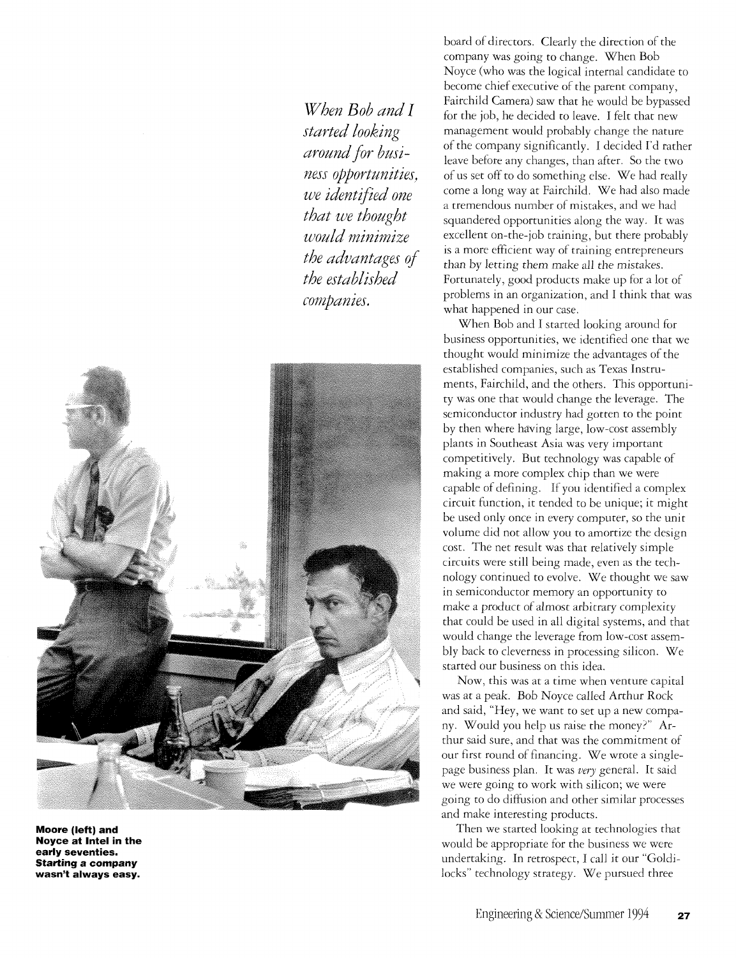*When Bob and I started looking around for business opportunities. we identified one that we thought would rninimize the advantages of the established companies.* 



**Moore (left) and Noyce at Intel in the early seventies. Starting a company wasn't always easy.** 

board of directors. Clearly the direction of the company was going to change. When Bob Noyce (who was the logical internal candidate to become chief executive of the parent company, Fairchild Camera) saw that he would be bypassed for the job, he decided to leave. I felt that new management would probably change the nature of the company significantly. I decided I'd rather leave before any changes, than after. So the two of us set off to do something else. We had really come a long way at Fairchild. We had also made a tremendous number of mistakes, and we had squandered opportunities along the way. It was excellent on-the-job training, but there probably is a more efficient way of training entrepreneurs than by letting them make all the mistakes. Fortunately, good products make up for a lot of problems in an organization, and I think that was what happened in our case.

When Bob and I started looking around for business opportunities, we identified one that we thought would minimize the advantages of the established companies, such as Texas Instruments, Fairchild, and the others. This opportunity was one that would change the leverage. The semiconductor industry had gotten to the point by then where having large, low-cost assembly plants in Southeast Asia was very important competitively. But technology was capable of making a more complex chip than we were capable of defining. If you identified a complex circuit function, it tended to be unique; it might be used only once in every computer, so the unit volume did not allow you to amortize the design cost. The net result was that relatively simple circuits were still being made, even as the technology continued to evolve. We thought we saw in semiconductor memory an opportunity to make a product of *almost* arbitrary complexity that could be used in all digital systems, and that would change the leverage from low-cost assembly back to cleverness in processing silicon. We started our business on this idea.

Now, this was at a time when venture capital was at a peak. Bob Noyce called Arthur Rock and said, "Hey, we want to set up a new company. Would you help us raise the money?" Arthur said sure, and that was the commitment of our first round of financing. We wrote a singlepage business plan. It was *very* general. It said we were going to work with silicon; we were going to do diffusion and other similar processes and make interesting products.

Then we started looking at technologies that would be appropriate for the business we were undertaking. In retrospect, I call it our "Goldilocks" technology strategy. We pursued three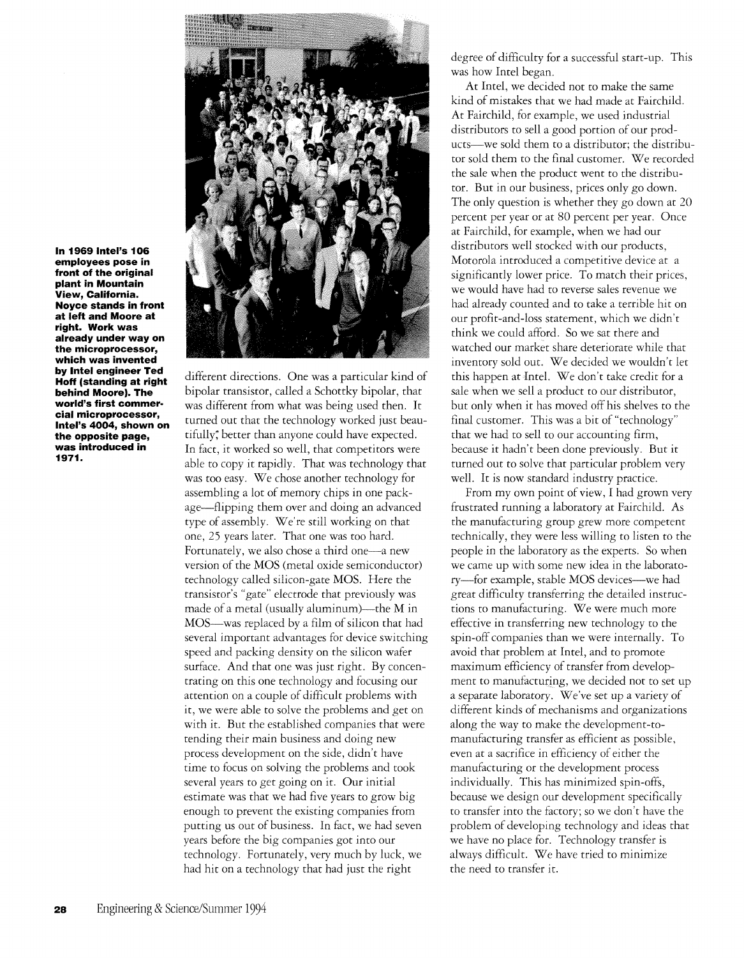**In 1969 Intel's 106 employees pose in front of the original plant in Mountain View, California. Noyce stands in front at left and Moore at right. Work was already under way on the microprocessor, which was invented by Intel engineer Ted Hoff (standing at right behind Moore). The world's first commer· cial microprocessor, Intel's 4004, shown on the opposite page, was introduced in 1971.** 



different directions. One was a particular kind of bipolar transistor, called a Schottky bipolar, that was different from what was being used then. It turned out that the technology worked just beautifully; better than anyone could have expected. In fact, it worked so well, that competitors were able to copy it rapidly. That was technology that was too easy. We chose another technology for assembling a lot of memory chips in one package-flipping them over and doing an advanced type of assembly. We're still working on that one, 25 years later. That one was too hard. Fortunately, we also chose a third one-a new version of the MOS (metal oxide semiconductor) technology called silicon-gate MOS. Here the transistor's "gate" electrode that previously was made of a metal (usually aluminum)—the  $M$  in MOS-was replaced by a film of silicon that had several important advantages for device switching speed and packing density on the silicon wafer surface. And that one was just right. By concentrating on this one technology and focusing our attention on a couple of difficult problems with it, we were able to solve the problems and get on with it. But the established companies that were tending their main business and doing new process development on the side, didn't have time to focus on solving the problems and took several years to get going on it. Our initial estimate was that we had five years to grow big enough to prevent the existing companies from putting us out of business. In fact, we had seven years before the big companies got into our technology. Fortunately, very much by luck, we had hit on a technology that had just the right

degree of difficulty for a successful start-up. This was how Intel began.

At Intel, we decided not to make the same kind of mistakes that we had made at Fairchild. At Fairchild, for example, we used industrial distributors to sell a good portion of our products-we sold them to a distributor; the distributor sold them to the final customer. We recorded the sale when the product went to the distributor. Bur in our business, prices only go down. The only question is whether they go down at 20 percent per year or at 80 percent per year. Once at Fairchild, for example, when we had our distributors well stocked with our products, Motorola introduced a competitive device at a significantly lower price. To match their prices, we would have had to reverse sales revenue we had already counted and to take a terrible hit on our profit-and-Ioss statement, which we didn't think we could afford. So we sat there and watched our market share deteriorate while that inventory sold out. We decided we wouldn't let this happen at Intel. We don't take credit for a sale when we sell a product to our distributor, but only when it has moved off his shelves to the final customer. This was a bit of "technology" that we had to sell to our accounting firm, because it hadn't been done previously. But it turned out to solve that particular problem very well. It is now standard industry practice.

From my own point of view, I had grown very frustrated running a laboratory at Fairchild. As the manufacturing group grew more competent technically, they were less willing to listen to the people in the laboratory as the experts. So when we came up with some new idea in the laboratory-for example, stable MOS devices-we had great difficulty transferring the detailed instructions to manufacturing. We were much more effective in transferring new technology to the spin-off companies than we were internally. To avoid that problem at Intel, and to promote maximum efficiency of transfer from development to manufacturing, we decided not to set up a separate laboratory. We've set up a variety of different kinds of mechanisms and organizations along the way to make the development-tomanufacturing transfer as efficient as possible, even at a sacrifice in efficiency of either the manufacturing or the development process individually. This has minimized spin-offs, because we design our development specifically to transfer into the factory; so we don't have the problem of developing technology and ideas that we have no place for. Technology transfer is always difficult. We have tried to minimize the need to transfer it.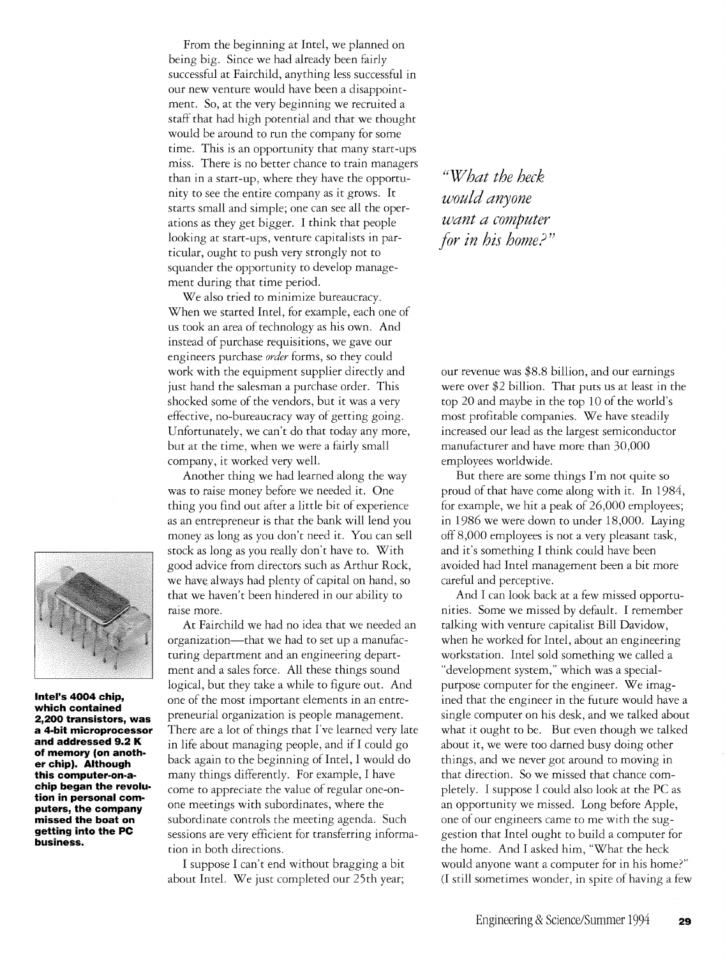From the beginning at Intel, we planned on being big. Since we had already been fairly successful at Fairchild, anything less successful in our new venture would have been a disappointment. So, at the very beginning we recruited a staff that had high potential and that we thought would be around to run the company for some time. This is an opportunity that many start-ups miss. There is no better chance to train managers than in a start-up, where they have the opportunity to see the entire company as it grows. It starts small and simple; one can see all the operations as they get bigger. I think that people looking at start-ups, venture capitalists in particular, ought to push very strongly not to squander the opportunity to develop management during that time period.

We also tried to minimize bureaucracy. When we started Intel, for example, each one of us took an area of technology as his own. And instead of purchase requisitions, we gave our engineers purchase *order* forms, so they could work with the equipment supplier directly and just hand the salesman a purchase order. This shocked some of the vendors, but it was a very effective, no-bureaucracy way of getting going. Unfortunately, we can't do that today any more, but at the time, when we were a faitly small company, it worked very well.

Another thing we had learned along the way was to raise money before we needed it. One thing you find out after a little bit of experience as an entrepreneur is that the bank will lend you money as long as you don't need it. You can sell stock as long as you really don't have to. With good advice from directors such as Arthur Rock, we have always had plenty of capital on hand, so that we haven't been hindered in our ability to raise more.

At Fairchild we had no idea that we needed an organization-that we had to set up a manufacturing department and an engineering department and a sales force. All these things sound logical, but they take a while to figure out. And one of the most important elements in an entrepreneurial organization is people management. There are a lot of things that I've learned very late in life about managing people, and if I could go back again to the beginning of Intel, I would do many things differently. For example, I have come to appreciate the value of regular one-onone meetings with subordinates, where the subordinate controls the meeting agenda. Such sessions are very efficient for transferring information in both directions.

I suppose I can't end without bragging a bit about Intel. We just completed our 25th year;

UW *hat the heck would anyone want a computer for in his home?"* 

our revenue was \$8.8 billion, and our earnings were over \$2 billion. That puts us at least in the top 20 and maybe in the top 10 of the world's most profitable companies. We have steadily increased our lead as the largest semiconductor manufacturer and have more than 30,000 employees worldwide.

But there are some things I'm not quite so proud of that have come along with it. In 1984, for example, we hit a peak of 26,000 employees; in 1986 we were down to under 18,000. laying off 8,000 employees is not a very pleasant task, and it's something I think could have been avoided had Intel management been a bit more careful and perceptive.

And I can look back at a few missed opportunities. Some we missed by default. I remember talking with venture capitalist Bill Davidow, when he worked for Intel, about an engineering workstation. Intel sold something we called a "development system," which was a specialpurpose computer for the engineer. We imagined that the engineer in the future would have a single computer on his desk, and we talked about what it ought to be. But even though we talked about it, we were too darned busy doing other things, and we never got around to moving in that direction. So we missed that chance completely. I suppose I could also look at the PC as an opportunity we missed. long before Apple, one of our engineers came to me with the suggestion that Intel ought to build a computer for the home. And I asked him, "What the heck would anyone want a computer for in his home?" (I still sometimes wonder, in spite of having a few



**Intel's 4004 chip, which contained 2,200 transistors, was a 4-bit microprocessor and addressed 9.2 K of memory (on anoth· er chip). Although this computer·on·a· chip began the revolu· tion in personal com· puters, the company missed the boat on getting into the PC business.**